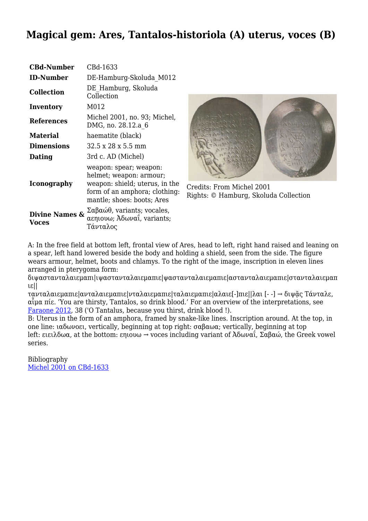## **Magical gem: Ares, Tantalos-historiola (A) uterus, voces (B)**

| <b>CBd-Number</b>                  | CBd-1633                                                                                                                                           |
|------------------------------------|----------------------------------------------------------------------------------------------------------------------------------------------------|
| <b>ID-Number</b>                   | DE-Hamburg-Skoluda M012                                                                                                                            |
| <b>Collection</b>                  | DE Hamburg, Skoluda<br>Collection                                                                                                                  |
| Inventory                          | M012                                                                                                                                               |
| <b>References</b>                  | Michel 2001, no. 93; Michel,<br>DMG, no. 28.12.a 6                                                                                                 |
| <b>Material</b>                    | haematite (black)                                                                                                                                  |
| <b>Dimensions</b>                  | 32.5 x 28 x 5.5 mm                                                                                                                                 |
| Dating                             | 3rd c. AD (Michel)                                                                                                                                 |
| Iconography                        | weapon: spear; weapon:<br>helmet; weapon: armour;<br>weapon: shield; uterus, in the<br>form of an amphora; clothing:<br>mantle; shoes: boots; Ares |
| <b>Divine Names &amp;</b><br>Voces | $\Sigma\alpha\beta\alpha\omega\theta$ , variants; vocales,<br>αεηιουω; Αδωναΐ, variants;<br>Τάνταλος                                               |



Credits: From Michel 2001 Rights: © Hamburg, Skoluda Collection

A: In the free field at bottom left, frontal view of Ares, head to left, right hand raised and leaning on a spear, left hand lowered beside the body and holding a shield, seen from the side. The figure wears armour, helmet, boots and chlamys. To the right of the image, inscription in eleven lines arranged in pterygoma form:

διψαστανταλαιεμαπι|ιψαστανταλαιεμαπιε|ψαστανταλαιεμαπιε|αστανταλαιεμαπιε|στανταλαιεμαπ ιε||

τανταλαιεμαπιε|ανταλαιεμαπιε|νταλαιεμαπιε|ταλαιεμαπιε|αλαιε[-]πιε||λαι [- -] → διψᾷς Τάνταλε, αἷμα πίε. 'You are thirsty, Tantalos, so drink blood.' For an overview of the interpretations, see [Faraone 2012](http://cbd.mfab.hu/bibliography/2344), 38 ('O Tantalus, because you thirst, drink blood !).

B: Uterus in the form of an amphora, framed by snake-like lines. Inscription around. At the top, in one line: ιαδωνοει, vertically, beginning at top right: σαβαωα; vertically, beginning at top left: ειειλδωα, at the bottom: εηιουω  $\rightarrow$  voces including variant of Aδωναΐ, Σαβαώ, the Greek vowel series.

Bibliography [Michel 2001 on CBd-1633](http://cbd.mfab.hu/pandecta/2082)